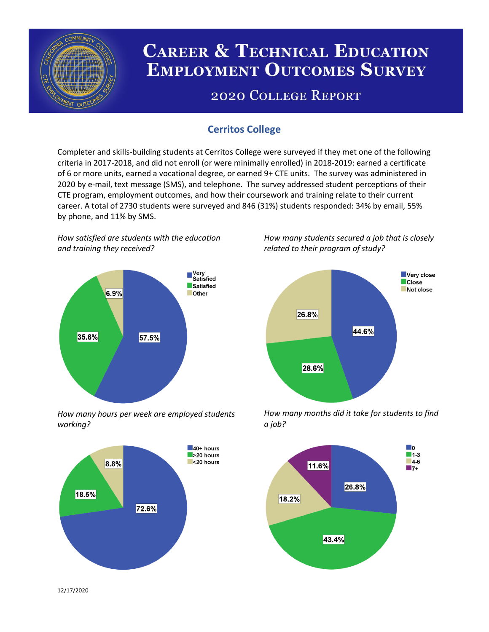

# **CAREER & TECHNICAL EDUCATION EMPLOYMENT OUTCOMES SURVEY**

## **2020 COLLEGE REPORT**

## **Cerritos College**

Completer and skills-building students at Cerritos College were surveyed if they met one of the following criteria in 2017-2018, and did not enroll (or were minimally enrolled) in 2018-2019: earned a certificate of 6 or more units, earned a vocational degree, or earned 9+ CTE units. The survey was administered in 2020 by e-mail, text message (SMS), and telephone. The survey addressed student perceptions of their CTE program, employment outcomes, and how their coursework and training relate to their current career. A total of 2730 students were surveyed and 846 (31%) students responded: 34% by email, 55% by phone, and 11% by SMS.

*How satisfied are students with the education and training they received?*



*How many hours per week are employed students working?*



*How many students secured a job that is closely related to their program of study?*



*How many months did it take for students to find a job?*



12/17/2020